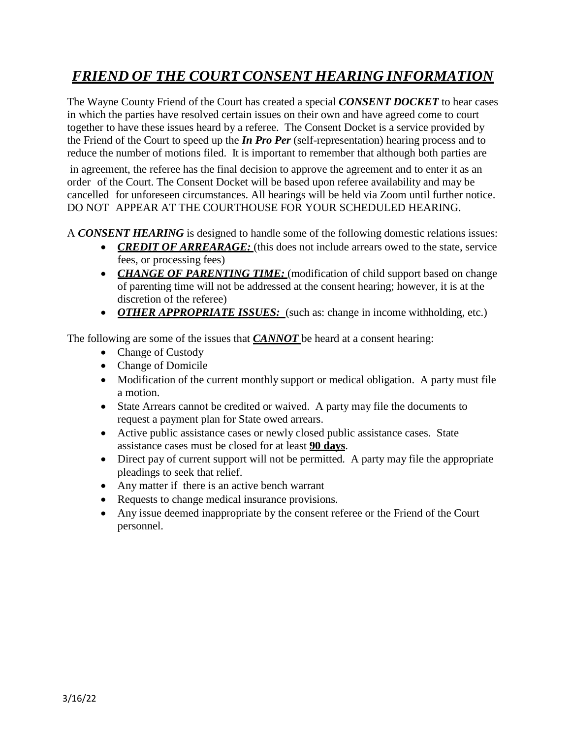## *FRIEND OF THE COURT CONSENT HEARING INFORMATION*

The Wayne County Friend of the Court has created a special *CONSENT DOCKET* to hear cases in which the parties have resolved certain issues on their own and have agreed come to court together to have these issues heard by a referee. The Consent Docket is a service provided by the Friend of the Court to speed up the *In Pro Per* (self-representation) hearing process and to reduce the number of motions filed. It is important to remember that although both parties are

in agreement, the referee has the final decision to approve the agreement and to enter it as an order of the Court. The Consent Docket will be based upon referee availability and may be cancelled for unforeseen circumstances. All hearings will be held via Zoom until further notice. DO NOT APPEAR AT THE COURTHOUSE FOR YOUR SCHEDULED HEARING.

A *CONSENT HEARING* is designed to handle some of the following domestic relations issues:

- **CREDIT OF ARREARAGE:** (this does not include arrears owed to the state, service fees, or processing fees)
- *CHANGE OF PARENTING TIME:* (modification of child support based on change of parenting time will not be addressed at the consent hearing; however, it is at the discretion of the referee)
- *OTHER APPROPRIATE ISSUES:* (such as: change in income withholding, etc.)

The following are some of the issues that *CANNOT* be heard at a consent hearing:

- Change of Custody
- Change of Domicile
- Modification of the current monthly support or medical obligation. A party must file a motion.
- State Arrears cannot be credited or waived. A party may file the documents to request a payment plan for State owed arrears.
- Active public assistance cases or newly closed public assistance cases. State assistance cases must be closed for at least **90 days**.
- Direct pay of current support will not be permitted. A party may file the appropriate pleadings to seek that relief.
- Any matter if there is an active bench warrant
- Requests to change medical insurance provisions.
- Any issue deemed inappropriate by the consent referee or the Friend of the Court personnel.